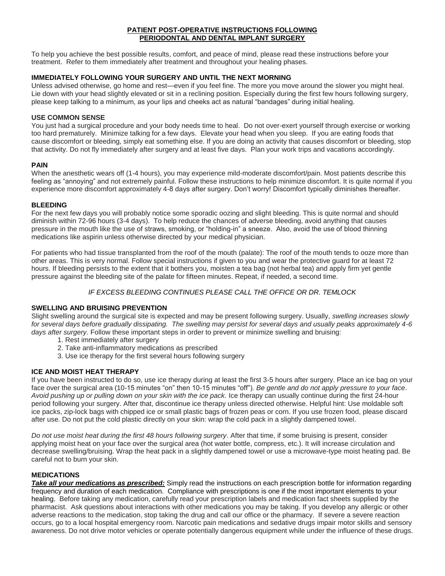#### **PATIENT POST-OPERATIVE INSTRUCTIONS FOLLOWING PERIODONTAL AND DENTAL IMPLANT SURGERY**

To help you achieve the best possible results, comfort, and peace of mind, please read these instructions before your treatment. Refer to them immediately after treatment and throughout your healing phases.

# **IMMEDIATELY FOLLOWING YOUR SURGERY AND UNTIL THE NEXT MORNING**

Unless advised otherwise, go home and rest—even if you feel fine. The more you move around the slower you might heal. Lie down with your head slightly elevated or sit in a reclining position. Especially during the first few hours following surgery, please keep talking to a minimum, as your lips and cheeks act as natural "bandages" during initial healing.

### **USE COMMON SENSE**

You just had a surgical procedure and your body needs time to heal. Do not over-exert yourself through exercise or working too hard prematurely. Minimize talking for a few days. Elevate your head when you sleep. If you are eating foods that cause discomfort or bleeding, simply eat something else. If you are doing an activity that causes discomfort or bleeding, stop that activity. Do not fly immediately after surgery and at least five days. Plan your work trips and vacations accordingly.

#### **PAIN**

When the anesthetic wears off (1-4 hours), you may experience mild-moderate discomfort/pain. Most patients describe this feeling as "annoying" and not extremely painful. Follow these instructions to help minimize discomfort. It is quite normal if you experience more discomfort approximately 4-8 days after surgery. Don't worry! Discomfort typically diminishes thereafter.

#### **BLEEDING**

For the next few days you will probably notice some sporadic oozing and slight bleeding. This is quite normal and should diminish within 72-96 hours (3-4 days). To help reduce the chances of adverse bleeding, avoid anything that causes pressure in the mouth like the use of straws, smoking, or "holding-in" a sneeze. Also, avoid the use of blood thinning medications like aspirin unless otherwise directed by your medical physician.

For patients who had tissue transplanted from the roof of the mouth (palate): The roof of the mouth tends to ooze more than other areas. This is very normal. Follow special instructions if given to you and wear the protective guard for at least 72 hours. If bleeding persists to the extent that it bothers you, moisten a tea bag (not herbal tea) and apply firm yet gentle pressure against the bleeding site of the palate for fifteen minutes. Repeat, if needed, a second time.

# *IF EXCESS BLEEDING CONTINUES PLEASE CALL THE OFFICE OR DR. TEMLOCK*

## **SWELLING AND BRUISING PREVENTION**

Slight swelling around the surgical site is expected and may be present following surgery. Usually, *swelling increases slowly for several days before gradually dissipating. The swelling may persist for several days and usually peaks approximately 4-6 days after surgery.* Follow these important steps in order to prevent or minimize swelling and bruising:

- 1. Rest immediately after surgery
- 2. Take anti-inflammatory medications as prescribed
- 3. Use ice therapy for the first several hours following surgery

## **ICE AND MOIST HEAT THERAPY**

If you have been instructed to do so, use ice therapy during at least the first 3-5 hours after surgery. Place an ice bag on your face over the surgical area (10-15 minutes "on" then 10-15 minutes "off"). *Be gentle and do not apply pressure to your face*. *Avoid pushing up or pulling down on your skin with the ice pack.* Ice therapy can usually continue during the first 24-hour period following your surgery. After that, discontinue ice therapy unless directed otherwise. Helpful hint: Use moldable soft ice packs, zip-lock bags with chipped ice or small plastic bags of frozen peas or corn. If you use frozen food, please discard after use. Do not put the cold plastic directly on your skin: wrap the cold pack in a slightly dampened towel.

*Do not use moist heat during the first 48 hours following surgery*. After that time, if some bruising is present, consider applying moist heat on your face over the surgical area (hot water bottle, compress, etc.). It will increase circulation and decrease swelling/bruising. Wrap the heat pack in a slightly dampened towel or use a microwave-type moist heating pad. Be careful not to burn your skin.

## **MEDICATIONS**

*Take all your medications as prescribed:* Simply read the instructions on each prescription bottle for information regarding frequency and duration of each medication. Compliance with prescriptions is one if the most important elements to your healing. Before taking any medication, carefully read your prescription labels and medication fact sheets supplied by the pharmacist. Ask questions about interactions with other medications you may be taking. If you develop any allergic or other adverse reactions to the medication, stop taking the drug and call our office or the pharmacy. If severe a severe reaction occurs, go to a local hospital emergency room. Narcotic pain medications and sedative drugs impair motor skills and sensory awareness. Do not drive motor vehicles or operate potentially dangerous equipment while under the influence of these drugs.